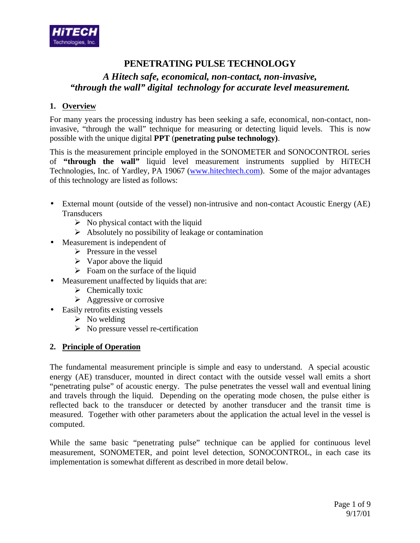

# **PENETRATING PULSE TECHNOLOGY**

# *A Hitech safe, economical, non-contact, non-invasive, "through the wall" digital technology for accurate level measurement.*

# **1. Overview**

For many years the processing industry has been seeking a safe, economical, non-contact, noninvasive, "through the wall" technique for measuring or detecting liquid levels. This is now possible with the unique digital **PPT** (**penetrating pulse technology)**.

This is the measurement principle employed in the SONOMETER and SONOCONTROL series of **"through the wall"** liquid level measurement instruments supplied by HiTECH Technologies, Inc. of Yardley, PA 19067 (www.hitechtech.com). Some of the major advantages of this technology are listed as follows:

- External mount (outside of the vessel) non-intrusive and non-contact Acoustic Energy (AE) **Transducers** 
	- $\triangleright$  No physical contact with the liquid
	- $\triangleright$  Absolutely no possibility of leakage or contamination
- Measurement is independent of
	- $\triangleright$  Pressure in the vessel
	- $\triangleright$  Vapor above the liquid
	- $\triangleright$  Foam on the surface of the liquid
- Measurement unaffected by liquids that are:
	- $\triangleright$  Chemically toxic
	- $\triangleright$  Aggressive or corrosive
- Easily retrofits existing vessels
	- $\triangleright$  No welding
	- $\triangleright$  No pressure vessel re-certification

# **2. Principle of Operation**

The fundamental measurement principle is simple and easy to understand. A special acoustic energy (AE) transducer, mounted in direct contact with the outside vessel wall emits a short "penetrating pulse" of acoustic energy. The pulse penetrates the vessel wall and eventual lining and travels through the liquid. Depending on the operating mode chosen, the pulse either is reflected back to the transducer or detected by another transducer and the transit time is measured. Together with other parameters about the application the actual level in the vessel is computed.

While the same basic "penetrating pulse" technique can be applied for continuous level measurement, SONOMETER, and point level detection, SONOCONTROL, in each case its implementation is somewhat different as described in more detail below.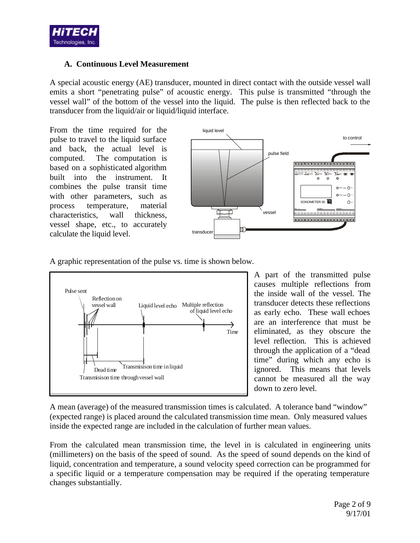

# **A. Continuous Level Measurement**

A special acoustic energy (AE) transducer, mounted in direct contact with the outside vessel wall emits a short "penetrating pulse" of acoustic energy. This pulse is transmitted "through the vessel wall" of the bottom of the vessel into the liquid. The pulse is then reflected back to the transducer from the liquid/air or liquid/liquid interface.

From the time required for the pulse to travel to the liquid surface and back, the actual level is computed. The computation is based on a sophisticated algorithm built into the instrument. It combines the pulse transit time with other parameters, such as process temperature, material characteristics, wall thickness, vessel shape, etc., to accurately calculate the liquid level.



A graphic representation of the pulse vs. time is shown below.



A part of the transmitted pulse causes multiple reflections from the inside wall of the vessel. The transducer detects these reflections as early echo. These wall echoes are an interference that must be eliminated, as they obscure the level reflection. This is achieved through the application of a "dead time" during which any echo is ignored. This means that levels cannot be measured all the way down to zero level.

A mean (average) of the measured transmission times is calculated. A tolerance band "window" (expected range) is placed around the calculated transmission time mean. Only measured values inside the expected range are included in the calculation of further mean values.

From the calculated mean transmission time, the level in is calculated in engineering units (millimeters) on the basis of the speed of sound. As the speed of sound depends on the kind of liquid, concentration and temperature, a sound velocity speed correction can be programmed for a specific liquid or a temperature compensation may be required if the operating temperature changes substantially.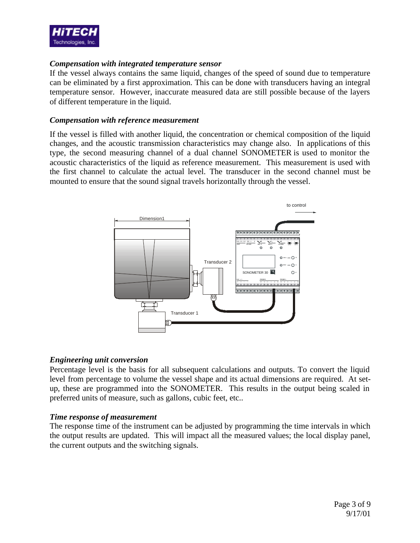

### *Compensation with integrated temperature sensor*

If the vessel always contains the same liquid, changes of the speed of sound due to temperature can be eliminated by a first approximation. This can be done with transducers having an integral temperature sensor. However, inaccurate measured data are still possible because of the layers of different temperature in the liquid.

#### *Compensation with reference measurement*

If the vessel is filled with another liquid, the concentration or chemical composition of the liquid changes, and the acoustic transmission characteristics may change also. In applications of this type, the second measuring channel of a dual channel SONOMETER is used to monitor the acoustic characteristics of the liquid as reference measurement. This measurement is used with the first channel to calculate the actual level. The transducer in the second channel must be mounted to ensure that the sound signal travels horizontally through the vessel.



### *Engineering unit conversion*

Percentage level is the basis for all subsequent calculations and outputs. To convert the liquid level from percentage to volume the vessel shape and its actual dimensions are required. At setup, these are programmed into the SONOMETER. This results in the output being scaled in preferred units of measure, such as gallons, cubic feet, etc..

### *Time response of measurement*

The response time of the instrument can be adjusted by programming the time intervals in which the output results are updated. This will impact all the measured values; the local display panel, the current outputs and the switching signals.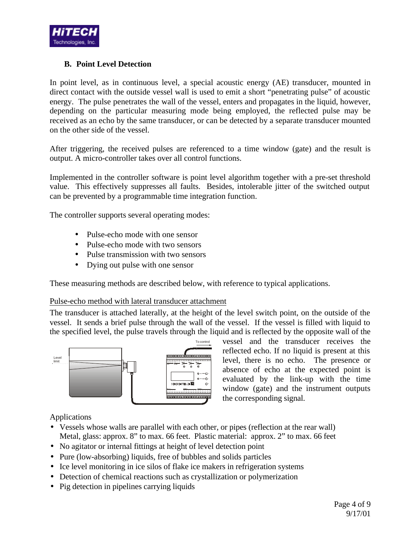

# **B. Point Level Detection**

In point level, as in continuous level, a special acoustic energy (AE) transducer, mounted in direct contact with the outside vessel wall is used to emit a short "penetrating pulse" of acoustic energy. The pulse penetrates the wall of the vessel, enters and propagates in the liquid, however, depending on the particular measuring mode being employed, the reflected pulse may be received as an echo by the same transducer, or can be detected by a separate transducer mounted on the other side of the vessel.

After triggering, the received pulses are referenced to a time window (gate) and the result is output. A micro-controller takes over all control functions.

Implemented in the controller software is point level algorithm together with a pre-set threshold value. This effectively suppresses all faults. Besides, intolerable jitter of the switched output can be prevented by a programmable time integration function.

The controller supports several operating modes:

- Pulse-echo mode with one sensor
- Pulse-echo mode with two sensors
- Pulse transmission with two sensors
- Dying out pulse with one sensor

These measuring methods are described below, with reference to typical applications.

# Pulse-echo method with lateral transducer attachment

The transducer is attached laterally, at the height of the level switch point, on the outside of the vessel. It sends a brief pulse through the wall of the vessel. If the vessel is filled with liquid to the specified level, the pulse travels through the liquid and is reflected by the opposite wall of the



vessel and the transducer receives the reflected echo. If no liquid is present at this level, there is no echo. The presence or absence of echo at the expected point is evaluated by the link-up with the time window (gate) and the instrument outputs the corresponding signal.

Applications

- Vessels whose walls are parallel with each other, or pipes (reflection at the rear wall) Metal, glass: approx. 8" to max. 66 feet. Plastic material: approx. 2" to max. 66 feet
- No agitator or internal fittings at height of level detection point
- Pure (low-absorbing) liquids, free of bubbles and solids particles
- Ice level monitoring in ice silos of flake ice makers in refrigeration systems
- Detection of chemical reactions such as crystallization or polymerization
- Pig detection in pipelines carrying liquids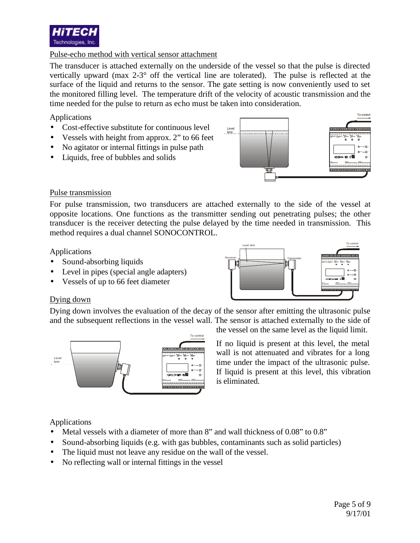

# Pulse-echo method with vertical sensor attachment

The transducer is attached externally on the underside of the vessel so that the pulse is directed vertically upward (max 2-3° off the vertical line are tolerated). The pulse is reflected at the surface of the liquid and returns to the sensor. The gate setting is now conveniently used to set the monitored filling level. The temperature drift of the velocity of acoustic transmission and the time needed for the pulse to return as echo must be taken into consideration.

Applications

- Cost-effective substitute for continuous level
- Vessels with height from approx. 2" to 66 feet
- No agitator or internal fittings in pulse path
- Liquids, free of bubbles and solids



### Pulse transmission

For pulse transmission, two transducers are attached externally to the side of the vessel at opposite locations. One functions as the transmitter sending out penetrating pulses; the other transducer is the receiver detecting the pulse delayed by the time needed in transmission. This method requires a dual channel SONOCONTROL.

Level limit

Receiver **Receiver** Transmitter

Applications

- Sound-absorbing liquids
- Level in pipes (special angle adapters)
- Vessels of up to 66 feet diameter

# Dying down

Dying down involves the evaluation of the decay of the sensor after emitting the ultrasonic pulse and the subsequent reflections in the vessel wall. The sensor is attached externally to the side of



the vessel on the same level as the liquid limit.

**24V = / ~ PROBE 2 PROBE 1**

**TEST REL 2 REL 1 ALARM**

**CH 1 +**

To control

If no liquid is present at this level, the metal wall is not attenuated and vibrates for a long time under the impact of the ultrasonic pulse. If liquid is present at this level, this vibration is eliminated.

# Applications

- Metal vessels with a diameter of more than 8" and wall thickness of 0.08" to 0.8"
- Sound-absorbing liquids (e.g. with gas bubbles, contaminants such as solid particles)
- The liquid must not leave any residue on the wall of the vessel.
- No reflecting wall or internal fittings in the vessel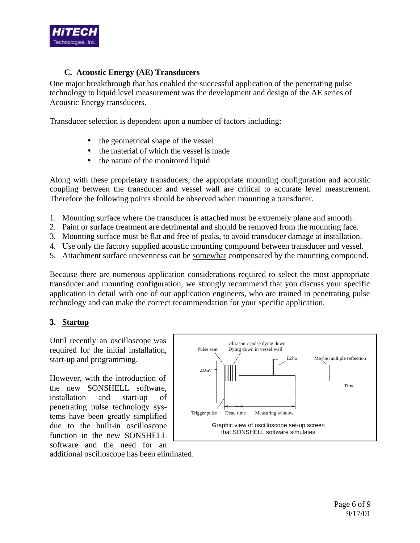

# **C. Acoustic Energy (AE) Transducers**

One major breakthrough that has enabled the successful application of the penetrating pulse technology to liquid level measurement was the development and design of the AE series of Acoustic Energy transducers.

Transducer selection is dependent upon a number of factors including:

- the geometrical shape of the vessel
- the material of which the vessel is made
- the nature of the monitored liquid

Along with these proprietary transducers, the appropriate mounting configuration and acoustic coupling between the transducer and vessel wall are critical to accurate level measurement. Therefore the following points should be observed when mounting a transducer.

- 1. Mounting surface where the transducer is attached must be extremely plane and smooth.
- 2. Paint or surface treatment are detrimental and should be removed from the mounting face.
- 3. Mounting surface must be flat and free of peaks, to avoid transducer damage at installation.
- 4. Use only the factory supplied acoustic mounting compound between transducer and vessel.
- 5. Attachment surface unevenness can be somewhat compensated by the mounting compound.

Because there are numerous application considerations required to select the most appropriate transducer and mounting configuration, we strongly recommend that you discuss your specific application in detail with one of our application engineers, who are trained in penetrating pulse technology and can make the correct recommendation for your specific application.

# **3. Startup**

Until recently an oscilloscope was required for the initial installation, start-up and programming.

However, with the introduction of the new SONSHELL software, installation and start-up of penetrating pulse technology systems have been greatly simplified due to the built-in oscilloscope function in the new SONSHELL software and the need for an



additional oscilloscope has been eliminated.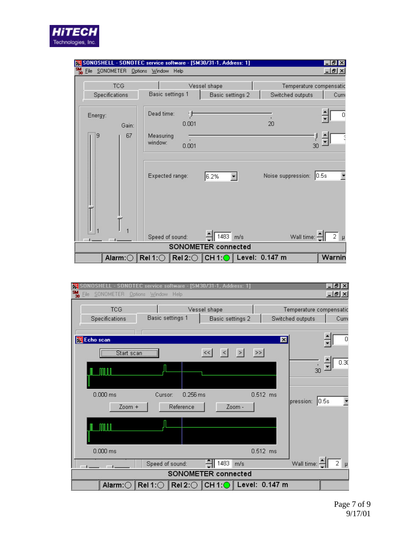| $\frac{\mathsf{SM}}{\mathsf{30}}$ Eile SONOMETER | SONOSHELL - SONOTEC service software - [SM30/31-1, Address: 1]<br>Options Window Help |                  |                         | -IBIX<br><u> - [리 × </u> |  |
|--------------------------------------------------|---------------------------------------------------------------------------------------|------------------|-------------------------|--------------------------|--|
| <b>TCG</b>                                       |                                                                                       | Vessel shape     | Temperature compensatic |                          |  |
| Specifications                                   | Basic settings 1                                                                      | Basic settings 2 | Switched outputs        | Curre                    |  |
| Energy:<br>Gain:                                 | Dead time:<br>0.001                                                                   |                  | 20                      | 0                        |  |
| 67<br>9                                          | Measuring<br>window:<br>0.001                                                         |                  |                         |                          |  |
|                                                  | Expected range:                                                                       | 6.2%             | Noise suppression:      | 10.5s                    |  |
|                                                  | Speed of sound:                                                                       | 1483<br>m/s      | Wall time: -            | 2                        |  |
| SONOMETER connected                              |                                                                                       |                  |                         |                          |  |
| Alarm: $\bigcirc$                                | Rel 1: $\bigcirc$ Rel 2: $\bigcirc$ CH 1: $\bigcirc$ Level: 0.147 m                   |                  |                         | Warnin                   |  |

**HITECH**<br>Technologies, Inc.

| X SONOSHELL - SONOTEC service software - [SM30/31-1, Address: 1]                                                                       | <u> - 미지</u>                                         |  |  |  |  |
|----------------------------------------------------------------------------------------------------------------------------------------|------------------------------------------------------|--|--|--|--|
| $\frac{SM}{30}$<br>SONOMETER<br>Options Window Help<br>File                                                                            | <u>니라지</u>                                           |  |  |  |  |
| <b>TCG</b><br>Vessel shape<br>Basic settings 1<br>Specifications<br>Basic settings 2                                                   | Temperature compensatic<br>Switched outputs<br>Curre |  |  |  |  |
| Echo scan<br>Start scan<br>$\,>>\,$<br><<<br>$\geq$<br>$\leq$                                                                          | 0<br>$\vert x \vert$                                 |  |  |  |  |
|                                                                                                                                        | $\overline{0.30}$<br>30                              |  |  |  |  |
| $0.000$ ms<br>0.256 ms<br>$0.512$ ms<br>Cursor:<br>Reference<br>$Zoom +$<br>Zoom -                                                     | 0.5s <br>pression:                                   |  |  |  |  |
|                                                                                                                                        |                                                      |  |  |  |  |
| $0.000$ ms<br>$0.512$ ms                                                                                                               |                                                      |  |  |  |  |
| 1483<br>Speed of sound:<br>m/s<br>$\sim$<br><b>Common</b>                                                                              | $\overline{2}$<br>Wall time: -<br>$\mu$              |  |  |  |  |
| SONOMETER connected                                                                                                                    |                                                      |  |  |  |  |
| $\parallel$ Alarm: $\cap$ $\parallel$ Rel 1: $\cap$ $\parallel$ Rel 2: $\cap$ $\parallel$ CH 1: $\cap$ $\parallel$ Level: $\,$ 0.147 m |                                                      |  |  |  |  |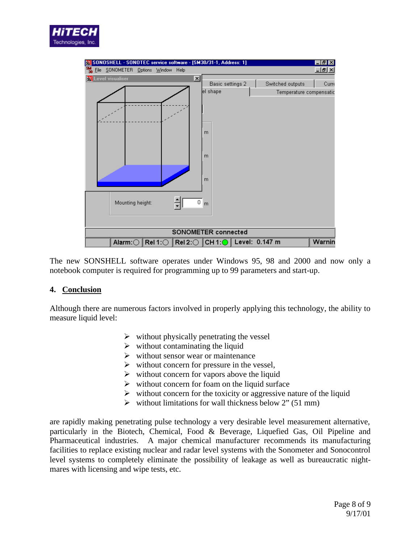



The new SONSHELL software operates under Windows 95, 98 and 2000 and now only a notebook computer is required for programming up to 99 parameters and start-up.

### **4. Conclusion**

Although there are numerous factors involved in properly applying this technology, the ability to measure liquid level:

- $\triangleright$  without physically penetrating the vessel
- $\triangleright$  without contaminating the liquid
- $\triangleright$  without sensor wear or maintenance
- $\triangleright$  without concern for pressure in the vessel,
- $\triangleright$  without concern for vapors above the liquid
- $\triangleright$  without concern for foam on the liquid surface
- $\triangleright$  without concern for the toxicity or aggressive nature of the liquid
- $\triangleright$  without limitations for wall thickness below 2" (51 mm)

are rapidly making penetrating pulse technology a very desirable level measurement alternative, particularly in the Biotech, Chemical, Food & Beverage, Liquefied Gas, Oil Pipeline and Pharmaceutical industries. A major chemical manufacturer recommends its manufacturing facilities to replace existing nuclear and radar level systems with the Sonometer and Sonocontrol level systems to completely eliminate the possibility of leakage as well as bureaucratic nightmares with licensing and wipe tests, etc.